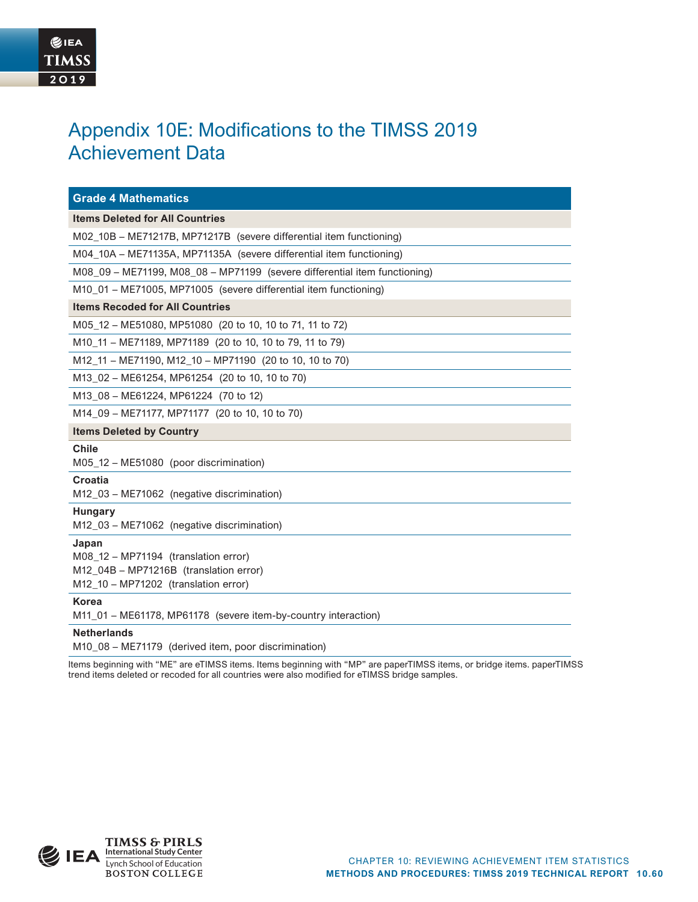# Appendix 10E: Modifications to the TIMSS 2019 Achievement Data

| <b>Grade 4 Mathematics</b>                                                                                                      |
|---------------------------------------------------------------------------------------------------------------------------------|
| <b>Items Deleted for All Countries</b>                                                                                          |
| M02_10B - ME71217B, MP71217B (severe differential item functioning)                                                             |
| M04_10A - ME71135A, MP71135A (severe differential item functioning)                                                             |
| M08 09 - ME71199, M08 08 - MP71199 (severe differential item functioning)                                                       |
| M10_01 - ME71005, MP71005 (severe differential item functioning)                                                                |
| <b>Items Recoded for All Countries</b>                                                                                          |
| M05_12 - ME51080, MP51080 (20 to 10, 10 to 71, 11 to 72)                                                                        |
| M10_11 - ME71189, MP71189 (20 to 10, 10 to 79, 11 to 79)                                                                        |
| M12_11 - ME71190, M12_10 - MP71190 (20 to 10, 10 to 70)                                                                         |
| M13_02 - ME61254, MP61254 (20 to 10, 10 to 70)                                                                                  |
| M13_08 - ME61224, MP61224 (70 to 12)                                                                                            |
| M14_09 - ME71177, MP71177 (20 to 10, 10 to 70)                                                                                  |
| <b>Items Deleted by Country</b>                                                                                                 |
| <b>Chile</b><br>M05_12 - ME51080 (poor discrimination)                                                                          |
| Croatia<br>M12_03 - ME71062 (negative discrimination)                                                                           |
| <b>Hungary</b><br>M12_03 - ME71062 (negative discrimination)                                                                    |
| Japan<br>M08 12 - MP71194 (translation error)<br>M12_04B - MP71216B (translation error)<br>M12_10 - MP71202 (translation error) |
| <b>Korea</b><br>M11_01 - ME61178, MP61178 (severe item-by-country interaction)                                                  |
| <b>Netherlands</b>                                                                                                              |

M10\_08 – ME71179 (derived item, poor discrimination)

Items beginning with "ME" are eTIMSS items. Items beginning with "MP" are paperTIMSS items, or bridge items. paperTIMSS trend items deleted or recoded for all countries were also modified for eTIMSS bridge samples.

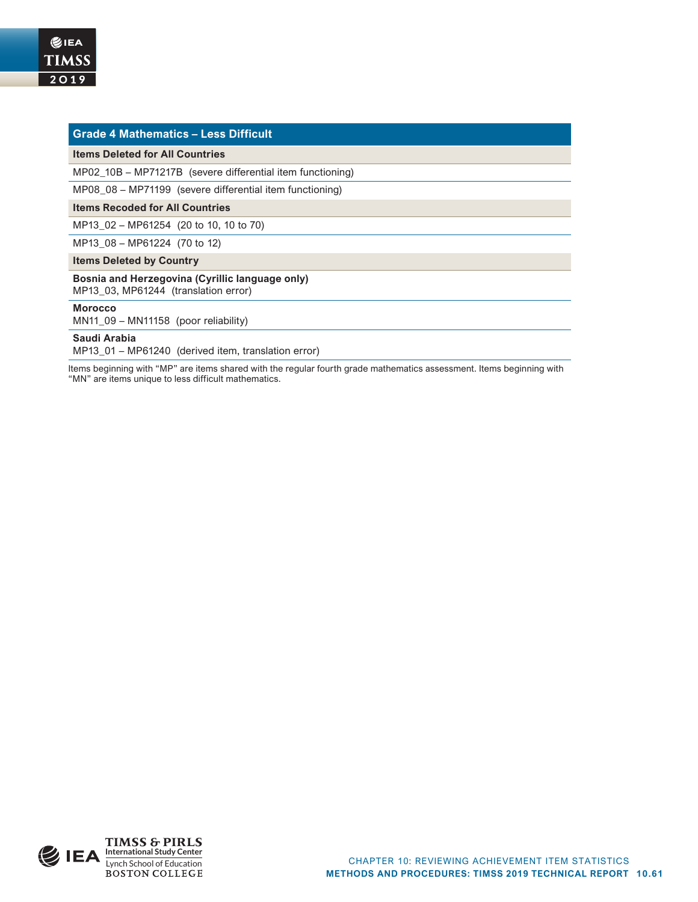|  | <b>Grade 4 Mathematics - Less Difficult</b>                                             |
|--|-----------------------------------------------------------------------------------------|
|  | <b>Items Deleted for All Countries</b>                                                  |
|  | MP02 10B – MP71217B (severe differential item functioning)                              |
|  | MP08 08 - MP71199 (severe differential item functioning)                                |
|  | <b>Items Recoded for All Countries</b>                                                  |
|  | MP13 02 - MP61254 (20 to 10, 10 to 70)                                                  |
|  | MP13_08 - MP61224 (70 to 12)                                                            |
|  | <b>Items Deleted by Country</b>                                                         |
|  | Bosnia and Herzegovina (Cyrillic language only)<br>MP13 03, MP61244 (translation error) |
|  | <b>Morocco</b><br>MN11 $09 - \text{MN}11158$ (poor reliability)                         |
|  | Saudi Arabia                                                                            |

MP13\_01 – MP61240 (derived item, translation error)

Items beginning with "MP" are items shared with the regular fourth grade mathematics assessment. Items beginning with "MN" are items unique to less difficult mathematics.

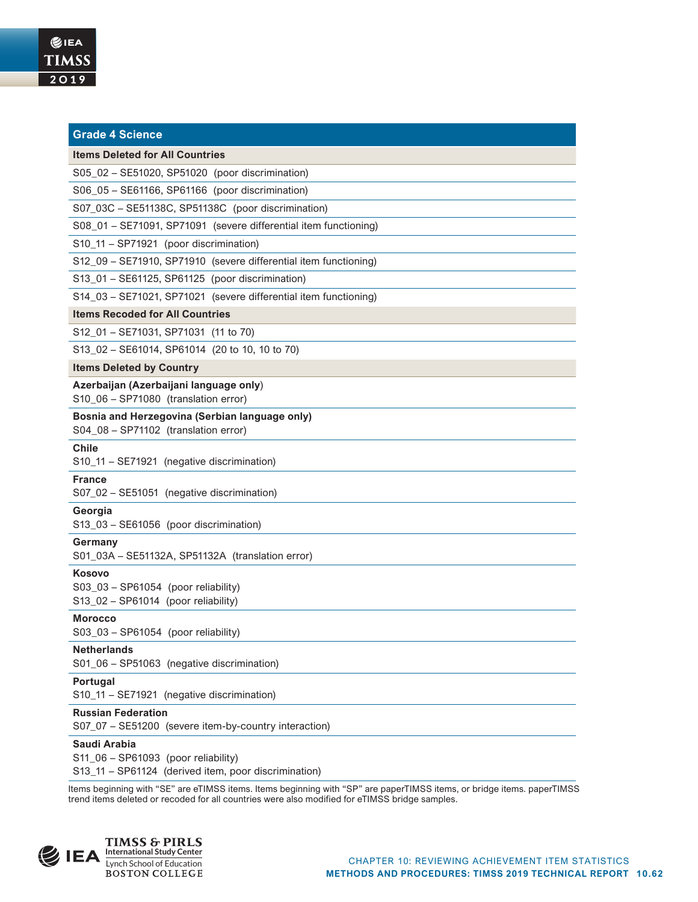| <b>Grade 4 Science</b>                                                                 |  |  |  |  |  |  |
|----------------------------------------------------------------------------------------|--|--|--|--|--|--|
| <b>Items Deleted for All Countries</b>                                                 |  |  |  |  |  |  |
| S05_02 - SE51020, SP51020 (poor discrimination)                                        |  |  |  |  |  |  |
| S06_05 - SE61166, SP61166 (poor discrimination)                                        |  |  |  |  |  |  |
| S07_03C - SE51138C, SP51138C (poor discrimination)                                     |  |  |  |  |  |  |
| S08_01 - SE71091, SP71091 (severe differential item functioning)                       |  |  |  |  |  |  |
| S10_11 - SP71921 (poor discrimination)                                                 |  |  |  |  |  |  |
| S12_09 - SE71910, SP71910 (severe differential item functioning)                       |  |  |  |  |  |  |
| S13_01 - SE61125, SP61125 (poor discrimination)                                        |  |  |  |  |  |  |
| S14_03 - SE71021, SP71021 (severe differential item functioning)                       |  |  |  |  |  |  |
| <b>Items Recoded for All Countries</b>                                                 |  |  |  |  |  |  |
| S12_01 - SE71031, SP71031 (11 to 70)                                                   |  |  |  |  |  |  |
| S13 02 - SE61014, SP61014 (20 to 10, 10 to 70)                                         |  |  |  |  |  |  |
| <b>Items Deleted by Country</b>                                                        |  |  |  |  |  |  |
| Azerbaijan (Azerbaijani language only)<br>S10_06 - SP71080 (translation error)         |  |  |  |  |  |  |
| Bosnia and Herzegovina (Serbian language only)<br>S04_08 - SP71102 (translation error) |  |  |  |  |  |  |
| <b>Chile</b><br>S10_11 - SE71921 (negative discrimination)                             |  |  |  |  |  |  |
| <b>France</b><br>S07_02 - SE51051 (negative discrimination)                            |  |  |  |  |  |  |
| Georgia<br>S13_03 - SE61056 (poor discrimination)                                      |  |  |  |  |  |  |
| Germany<br>S01_03A - SE51132A, SP51132A (translation error)                            |  |  |  |  |  |  |
| Kosovo<br>S03_03 - SP61054 (poor reliability)<br>S13_02 - SP61014 (poor reliability)   |  |  |  |  |  |  |
| <b>Morocco</b><br>S03_03 - SP61054 (poor reliability)                                  |  |  |  |  |  |  |
| <b>Netherlands</b><br>S01_06 - SP51063 (negative discrimination)                       |  |  |  |  |  |  |
| Portugal<br>S10_11 - SE71921 (negative discrimination)                                 |  |  |  |  |  |  |
| <b>Russian Federation</b><br>S07_07 - SE51200 (severe item-by-country interaction)     |  |  |  |  |  |  |
| Saudi Arabia<br>0001000                                                                |  |  |  |  |  |  |

S11\_06 – SP61093 (poor reliability) S13\_11 – SP61124 (derived item, poor discrimination)

Items beginning with "SE" are eTIMSS items. Items beginning with "SP" are paperTIMSS items, or bridge items. paperTIMSS trend items deleted or recoded for all countries were also modified for eTIMSS bridge samples.

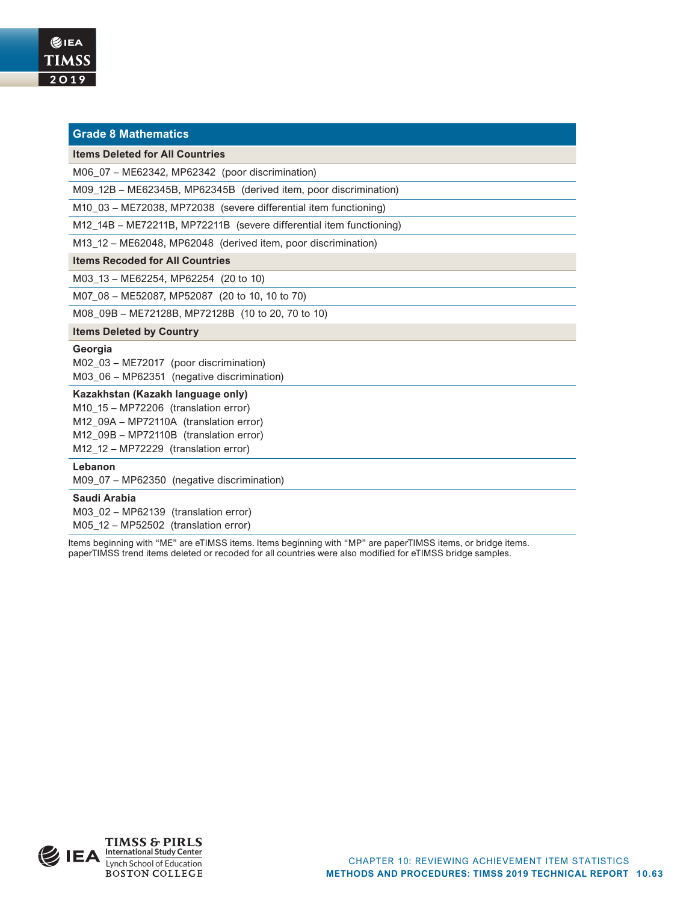|  | <b>Grade 8 Mathematics</b> |
|--|----------------------------|
|  |                            |
|  |                            |

### **Items Deleted for All Countries**

M06\_07 – ME62342, MP62342 (poor discrimination)

M09\_12B – ME62345B, MP62345B (derived item, poor discrimination)

M10\_03 – ME72038, MP72038 (severe differential item functioning)

M12\_14B – ME72211B, MP72211B (severe differential item functioning)

M13\_12 – ME62048, MP62048 (derived item, poor discrimination)

#### **Items Recoded for All Countries**

M03\_13 – ME62254, MP62254 (20 to 10)

M07\_08 – ME52087, MP52087 (20 to 10, 10 to 70)

M08\_09B – ME72128B, MP72128B (10 to 20, 70 to 10)

#### **Items Deleted by Country**

# **Georgia**

M02\_03 – ME72017 (poor discrimination) M03\_06 – MP62351 (negative discrimination)

### **Kazakhstan (Kazakh language only)**

M10\_15 – MP72206 (translation error) M12\_09A – MP72110A (translation error) M12\_09B – MP72110B (translation error) M12\_12 – MP72229 (translation error)

# **Lebanon**

M09\_07 – MP62350 (negative discrimination)

# **Saudi Arabia**

M03\_02 – MP62139 (translation error) M05\_12 – MP52502 (translation error)

Items beginning with "ME" are eTIMSS items. Items beginning with "MP" are paperTIMSS items, or bridge items. paperTIMSS trend items deleted or recoded for all countries were also modified for eTIMSS bridge samples.